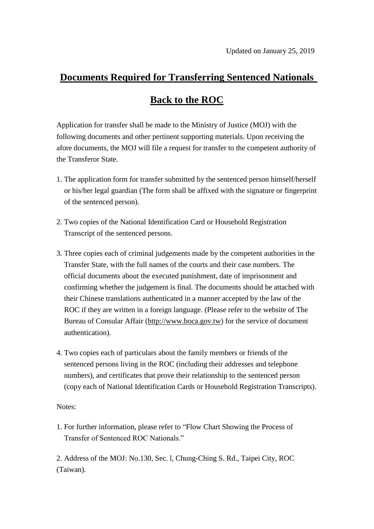## **Documents Required for Transferring Sentenced Nationals**

## **Back to the ROC**

Application for transfer shall be made to the Ministry of Justice (MOJ) with the following documents and other pertinent supporting materials. Upon receiving the afore documents, the MOJ will file a request for transfer to the competent authority of the Transferor State.

- 1. The application form for transfer submitted by the sentenced person himself/herself or his/her legal guardian (The form shall be affixed with the signature or fingerprint of the sentenced person).
- 2. Two copies of the National Identification Card or Household Registration Transcript of the sentenced persons.
- 3. Three copies each of criminal judgements made by the competent authorities in the Transfer State, with the full names of the courts and their case numbers. The official documents about the executed punishment, date of imprisonment and confirming whether the judgement is final. The documents should be attached with their Chinese translations authenticated in a manner accepted by the law of the ROC if they are written in a foreign language. (Please refer to the website of The Bureau of Consular Affair [\(http://www.boca.gov.tw\)](http://www.boca.gov.tw/) for the service of document authentication).
- 4. Two copies each of particulars about the family members or friends of the sentenced persons living in the ROC (including their addresses and telephone numbers), and certificates that prove their relationship to the sentenced person (copy each of National Identification Cards or Household Registration Transcripts).

Notes:

1. For further information, please refer to "Flow Chart Showing the Process of Transfer of Sentenced ROC Nationals."

2. Address of the MOJ: No.130, Sec. l, Chung-Ching S. Rd., Taipei City, ROC (Taiwan).